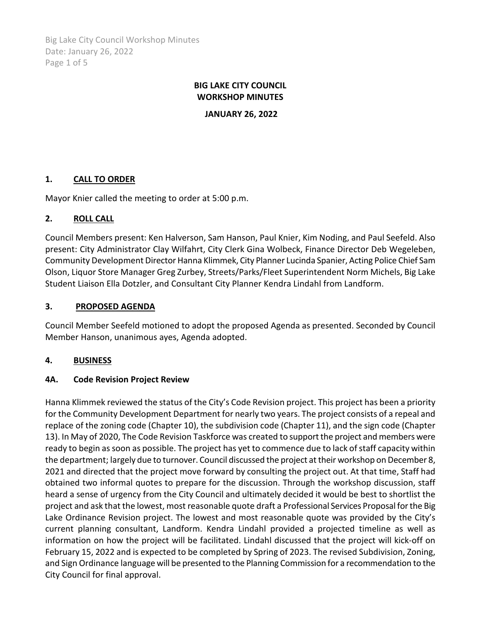Big Lake City Council Workshop Minutes Date: January 26, 2022 Page 1 of 5

# **BIG LAKE CITY COUNCIL WORKSHOP MINUTES**

**JANUARY 26, 2022**

# **1. CALL TO ORDER**

Mayor Knier called the meeting to order at 5:00 p.m.

# **2. ROLL CALL**

Council Members present: Ken Halverson, Sam Hanson, Paul Knier, Kim Noding, and Paul Seefeld. Also present: City Administrator Clay Wilfahrt, City Clerk Gina Wolbeck, Finance Director Deb Wegeleben, Community Development Director Hanna Klimmek, City Planner Lucinda Spanier, Acting Police Chief Sam Olson, Liquor Store Manager Greg Zurbey, Streets/Parks/Fleet Superintendent Norm Michels, Big Lake Student Liaison Ella Dotzler, and Consultant City Planner Kendra Lindahl from Landform.

### **3. PROPOSED AGENDA**

Council Member Seefeld motioned to adopt the proposed Agenda as presented. Seconded by Council Member Hanson, unanimous ayes, Agenda adopted.

# **4. BUSINESS**

#### **4A. Code Revision Project Review**

Hanna Klimmek reviewed the status of the City's Code Revision project. This project has been a priority for the Community Development Department for nearly two years. The project consists of a repeal and replace of the zoning code (Chapter 10), the subdivision code (Chapter 11), and the sign code (Chapter 13). In May of 2020, The Code Revision Taskforce was created to support the project and members were ready to begin as soon as possible. The project has yet to commence due to lack of staff capacity within the department; largely due to turnover. Council discussed the project at their workshop on December 8, 2021 and directed that the project move forward by consulting the project out. At that time, Staff had obtained two informal quotes to prepare for the discussion. Through the workshop discussion, staff heard a sense of urgency from the City Council and ultimately decided it would be best to shortlist the project and ask that the lowest, most reasonable quote draft a Professional Services Proposal for the Big Lake Ordinance Revision project. The lowest and most reasonable quote was provided by the City's current planning consultant, Landform. Kendra Lindahl provided a projected timeline as well as information on how the project will be facilitated. Lindahl discussed that the project will kick-off on February 15, 2022 and is expected to be completed by Spring of 2023. The revised Subdivision, Zoning, and Sign Ordinance language will be presented to the Planning Commission for a recommendation to the City Council for final approval.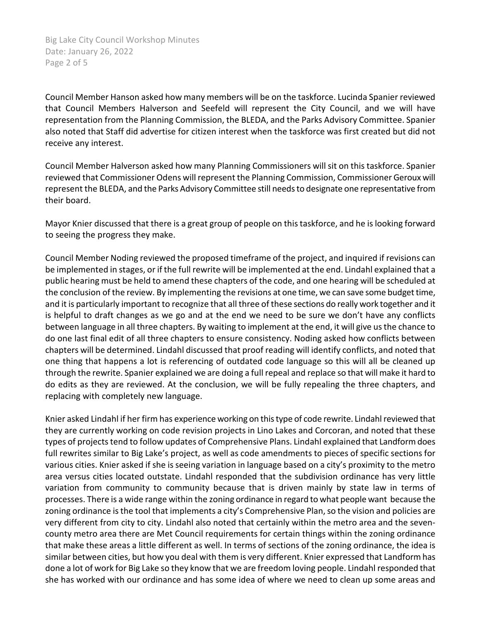Big Lake City Council Workshop Minutes Date: January 26, 2022 Page 2 of 5

Council Member Hanson asked how many members will be on the taskforce. Lucinda Spanier reviewed that Council Members Halverson and Seefeld will represent the City Council, and we will have representation from the Planning Commission, the BLEDA, and the Parks Advisory Committee. Spanier also noted that Staff did advertise for citizen interest when the taskforce was first created but did not receive any interest.

Council Member Halverson asked how many Planning Commissioners will sit on this taskforce. Spanier reviewed that Commissioner Odens will represent the Planning Commission, Commissioner Geroux will represent the BLEDA, and the Parks Advisory Committee still needsto designate one representative from their board.

Mayor Knier discussed that there is a great group of people on this taskforce, and he is looking forward to seeing the progress they make.

Council Member Noding reviewed the proposed timeframe of the project, and inquired if revisions can be implemented in stages, or if the full rewrite will be implemented at the end. Lindahl explained that a public hearing must be held to amend these chapters of the code, and one hearing will be scheduled at the conclusion of the review. By implementing the revisions at one time, we can save some budget time, and it is particularly important to recognize that all three of these sections do really work together and it is helpful to draft changes as we go and at the end we need to be sure we don't have any conflicts between language in all three chapters. By waiting to implement at the end, it will give us the chance to do one last final edit of all three chapters to ensure consistency. Noding asked how conflicts between chapters will be determined. Lindahl discussed that proof reading will identify conflicts, and noted that one thing that happens a lot is referencing of outdated code language so this will all be cleaned up through the rewrite. Spanier explained we are doing a full repeal and replace so that will make it hard to do edits as they are reviewed. At the conclusion, we will be fully repealing the three chapters, and replacing with completely new language.

Knier asked Lindahl if her firm has experience working on this type of code rewrite. Lindahl reviewed that they are currently working on code revision projects in Lino Lakes and Corcoran, and noted that these types of projects tend to follow updates of Comprehensive Plans. Lindahl explained that Landform does full rewrites similar to Big Lake's project, as well as code amendments to pieces of specific sections for various cities. Knier asked if she is seeing variation in language based on a city's proximity to the metro area versus cities located outstate. Lindahl responded that the subdivision ordinance has very little variation from community to community because that is driven mainly by state law in terms of processes. There is a wide range within the zoning ordinance in regard to what people want because the zoning ordinance is the tool that implements a city's Comprehensive Plan, so the vision and policies are very different from city to city. Lindahl also noted that certainly within the metro area and the sevencounty metro area there are Met Council requirements for certain things within the zoning ordinance that make these areas a little different as well. In terms of sections of the zoning ordinance, the idea is similar between cities, but how you deal with them is very different. Knier expressed that Landform has done a lot of work for Big Lake so they know that we are freedom loving people. Lindahl responded that she has worked with our ordinance and has some idea of where we need to clean up some areas and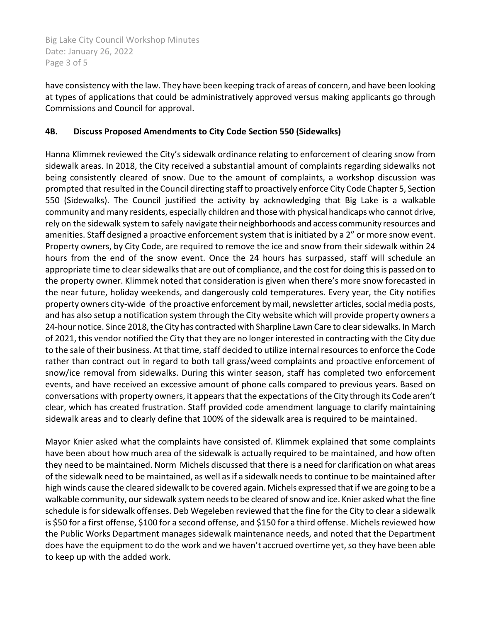Big Lake City Council Workshop Minutes Date: January 26, 2022 Page 3 of 5

have consistency with the law. They have been keeping track of areas of concern, and have been looking at types of applications that could be administratively approved versus making applicants go through Commissions and Council for approval.

# **4B. Discuss Proposed Amendments to City Code Section 550 (Sidewalks)**

Hanna Klimmek reviewed the City's sidewalk ordinance relating to enforcement of clearing snow from sidewalk areas. In 2018, the City received a substantial amount of complaints regarding sidewalks not being consistently cleared of snow. Due to the amount of complaints, a workshop discussion was prompted that resulted in the Council directing staff to proactively enforce City Code Chapter 5, Section 550 (Sidewalks). The Council justified the activity by acknowledging that Big Lake is a walkable community and many residents, especially children and those with physical handicaps who cannot drive, rely on the sidewalk system to safely navigate their neighborhoods and access community resources and amenities. Staff designed a proactive enforcement system that is initiated by a 2" or more snow event. Property owners, by City Code, are required to remove the ice and snow from their sidewalk within 24 hours from the end of the snow event. Once the 24 hours has surpassed, staff will schedule an appropriate time to clear sidewalks that are out of compliance, and the cost for doing this is passed on to the property owner. Klimmek noted that consideration is given when there's more snow forecasted in the near future, holiday weekends, and dangerously cold temperatures. Every year, the City notifies property owners city-wide of the proactive enforcement by mail, newsletter articles, social media posts, and has also setup a notification system through the City website which will provide property owners a 24-hour notice. Since 2018, the City has contracted with Sharpline Lawn Care to clear sidewalks. In March of 2021, this vendor notified the City that they are no longer interested in contracting with the City due to the sale of their business. At that time, staff decided to utilize internal resources to enforce the Code rather than contract out in regard to both tall grass/weed complaints and proactive enforcement of snow/ice removal from sidewalks. During this winter season, staff has completed two enforcement events, and have received an excessive amount of phone calls compared to previous years. Based on conversations with property owners, it appears that the expectations of the City through its Code aren't clear, which has created frustration. Staff provided code amendment language to clarify maintaining sidewalk areas and to clearly define that 100% of the sidewalk area is required to be maintained.

Mayor Knier asked what the complaints have consisted of. Klimmek explained that some complaints have been about how much area of the sidewalk is actually required to be maintained, and how often they need to be maintained. Norm Michels discussed that there is a need for clarification on what areas of the sidewalk need to be maintained, as well as if a sidewalk needs to continue to be maintained after high winds cause the cleared sidewalk to be covered again. Michels expressed that if we are going to be a walkable community, our sidewalk system needsto be cleared of snow and ice. Knier asked what the fine schedule is for sidewalk offenses. Deb Wegeleben reviewed that the fine for the City to clear a sidewalk is \$50 for a first offense, \$100 for a second offense, and \$150 for a third offense. Michels reviewed how the Public Works Department manages sidewalk maintenance needs, and noted that the Department does have the equipment to do the work and we haven't accrued overtime yet, so they have been able to keep up with the added work.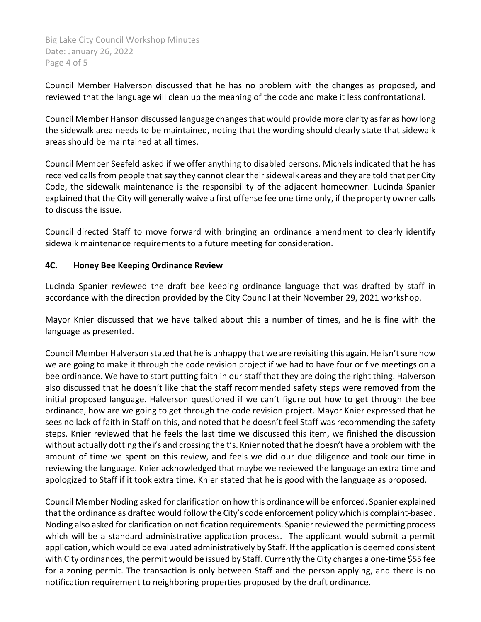Big Lake City Council Workshop Minutes Date: January 26, 2022 Page 4 of 5

Council Member Halverson discussed that he has no problem with the changes as proposed, and reviewed that the language will clean up the meaning of the code and make it less confrontational.

Council Member Hanson discussed language changes that would provide more clarity as far as how long the sidewalk area needs to be maintained, noting that the wording should clearly state that sidewalk areas should be maintained at all times.

Council Member Seefeld asked if we offer anything to disabled persons. Michels indicated that he has received calls from people that say they cannot clear their sidewalk areas and they are told that per City Code, the sidewalk maintenance is the responsibility of the adjacent homeowner. Lucinda Spanier explained that the City will generally waive a first offense fee one time only, if the property owner calls to discuss the issue.

Council directed Staff to move forward with bringing an ordinance amendment to clearly identify sidewalk maintenance requirements to a future meeting for consideration.

# **4C. Honey Bee Keeping Ordinance Review**

Lucinda Spanier reviewed the draft bee keeping ordinance language that was drafted by staff in accordance with the direction provided by the City Council at their November 29, 2021 workshop.

Mayor Knier discussed that we have talked about this a number of times, and he is fine with the language as presented.

Council Member Halverson stated that he is unhappy that we are revisiting this again. He isn't sure how we are going to make it through the code revision project if we had to have four or five meetings on a bee ordinance. We have to start putting faith in our staff that they are doing the right thing. Halverson also discussed that he doesn't like that the staff recommended safety steps were removed from the initial proposed language. Halverson questioned if we can't figure out how to get through the bee ordinance, how are we going to get through the code revision project. Mayor Knier expressed that he sees no lack of faith in Staff on this, and noted that he doesn't feel Staff was recommending the safety steps. Knier reviewed that he feels the last time we discussed this item, we finished the discussion without actually dotting the i's and crossing the t's. Knier noted that he doesn't have a problem with the amount of time we spent on this review, and feels we did our due diligence and took our time in reviewing the language. Knier acknowledged that maybe we reviewed the language an extra time and apologized to Staff if it took extra time. Knier stated that he is good with the language as proposed.

Council Member Noding asked for clarification on how this ordinance will be enforced. Spanier explained that the ordinance as drafted would follow the City's code enforcement policy which is complaint-based. Noding also asked for clarification on notification requirements. Spanier reviewed the permitting process which will be a standard administrative application process. The applicant would submit a permit application, which would be evaluated administratively by Staff. If the application is deemed consistent with City ordinances, the permit would be issued by Staff. Currently the City charges a one-time \$55 fee for a zoning permit. The transaction is only between Staff and the person applying, and there is no notification requirement to neighboring properties proposed by the draft ordinance.